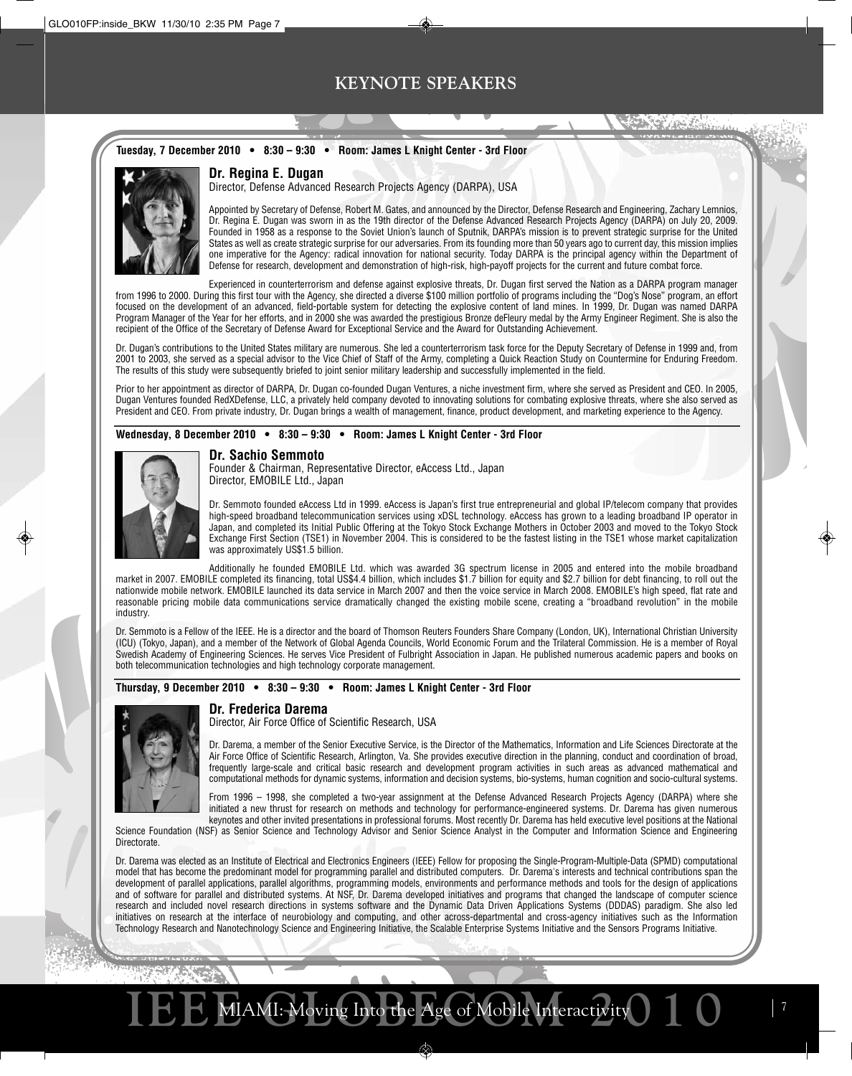## **KEYNOTE SPEAKERS**

#### **Tuesday, 7 December 2010 • 8:30 – 9:30 • Room: James L Knight Center - 3rd Floor**



**Dr. Regina E. Dugan** Director, Defense Advanced Research Projects Agency (DARPA), USA

Appointed by Secretary of Defense, Robert M. Gates, and announced by the Director, Defense Research and Engineering, Zachary Lemnios, Dr. Regina E. Dugan was sworn in as the 19th director of the Defense Advanced Research Projects Agency (DARPA) on July 20, 2009. Founded in 1958 as a response to the Soviet Union's launch of Sputnik, DARPA's mission is to prevent strategic surprise for the United States as well as create strategic surprise for our adversaries. From its founding more than 50 years ago to current day, this mission implies one imperative for the Agency: radical innovation for national security. Today DARPA is the principal agency within the Department of Defense for research, development and demonstration of high-risk, high-payoff projects for the current and future combat force.

Experienced in counterterrorism and defense against explosive threats, Dr. Dugan first served the Nation as a DARPA program manager from 1996 to 2000. During this first tour with the Agency, she directed a diverse \$100 million portfolio of programs including the "Dog's Nose" program, an effort focused on the development of an advanced, field-portable system for detecting the explosive content of land mines. In 1999, Dr. Dugan was named DARPA Program Manager of the Year for her efforts, and in 2000 she was awarded the prestigious Bronze deFleury medal by the Army Engineer Regiment. She is also the recipient of the Office of the Secretary of Defense Award for Exceptional Service and the Award for Outstanding Achievement.

Dr. Dugan's contributions to the United States military are numerous. She led a counterterrorism task force for the Deputy Secretary of Defense in 1999 and, from 2001 to 2003, she served as a special advisor to the Vice Chief of Staff of the Army, completing a Quick Reaction Study on Countermine for Enduring Freedom. The results of this study were subsequently briefed to joint senior military leadership and successfully implemented in the field.

Prior to her appointment as director of DARPA, Dr. Dugan co-founded Dugan Ventures, a niche investment firm, where she served as President and CEO. In 2005, Dugan Ventures founded RedXDefense, LLC, a privately held company devoted to innovating solutions for combating explosive threats, where she also served as President and CEO. From private industry, Dr. Dugan brings a wealth of management, finance, product development, and marketing experience to the Agency.

#### **Wednesday, 8 December 2010 • 8:30 – 9:30 • Room: James L Knight Center - 3rd Floor**



#### **Dr. Sachio Semmoto** Founder & Chairman, Representative Director, eAccess Ltd., Japan

Director, EMOBILE Ltd., Japan

Dr. Semmoto founded eAccess Ltd in 1999. eAccess is Japan's first true entrepreneurial and global IP/telecom company that provides high-speed broadband telecommunication services using xDSL technology. eAccess has grown to a leading broadband IP operator in Japan, and completed its Initial Public Offering at the Tokyo Stock Exchange Mothers in October 2003 and moved to the Tokyo Stock Exchange First Section (TSE1) in November 2004. This is considered to be the fastest listing in the TSE1 whose market capitalization was approximately US\$1.5 billion.

Additionally he founded EMOBILE Ltd. which was awarded 3G spectrum license in 2005 and entered into the mobile broadband market in 2007. EMOBILE completed its financing, total US\$4.4 billion, which includes \$1.7 billion for equity and \$2.7 billion for debt financing, to roll out the nationwide mobile network. EMOBILE launched its data service in March 2007 and then the voice service in March 2008. EMOBILE's high speed, flat rate and reasonable pricing mobile data communications service dramatically changed the existing mobile scene, creating a "broadband revolution" in the mobile industry.

Dr. Semmoto is a Fellow of the IEEE. He is a director and the board of Thomson Reuters Founders Share Company (London, UK), International Christian University (ICU) (Tokyo, Japan), and a member of the Network of Global Agenda Councils, World Economic Forum and the Trilateral Commission. He is a member of Royal Swedish Academy of Engineering Sciences. He serves Vice President of Fulbright Association in Japan. He published numerous academic papers and books on both telecommunication technologies and high technology corporate management.

#### **Thursday, 9 December 2010 • 8:30 – 9:30 • Room: James L Knight Center - 3rd Floor**



#### **Dr. Frederica Darema**

Director, Air Force Office of Scientific Research, USA

Dr. Darema, a member of the Senior Executive Service, is the Director of the Mathematics, Information and Life Sciences Directorate at the Air Force Office of Scientific Research, Arlington, Va. She provides executive direction in the planning, conduct and coordination of broad, frequently large-scale and critical basic research and development program activities in such areas as advanced mathematical and computational methods for dynamic systems, information and decision systems, bio-systems, human cognition and socio-cultural systems.

From 1996 – 1998, she completed a two-year assignment at the Defense Advanced Research Projects Agency (DARPA) where she initiated a new thrust for research on methods and technology for performance-engineered systems. Dr. Darema has given numerous keynotes and other invited presentations in professional forums. Most recently Dr. Darema has held executive level positions at the National

Science Foundation (NSF) as Senior Science and Technology Advisor and Senior Science Analyst in the Computer and Information Science and Engineering Directorate.

Dr. Darema was elected as an Institute of Electrical and Electronics Engineers (IEEE) Fellow for proposing the Single-Program-Multiple-Data (SPMD) computational model that has become the predominant model for programming parallel and distributed computers. Dr. Darema's interests and technical contributions span the development of parallel applications, parallel algorithms, programming models, environments and performance methods and tools for the design of applications and of software for parallel and distributed systems. At NSF, Dr. Darema developed initiatives and programs that changed the landscape of computer science research and included novel research directions in systems software and the Dynamic Data Driven Applications Systems (DDDAS) paradigm. She also led initiatives on research at the interface of neurobiology and computing, and other across-departmental and cross-agency initiatives such as the Information Technology Research and Nanotechnology Science and Engineering Initiative, the Scalable Enterprise Systems Initiative and the Sensors Programs Initiative.

**IEEE** Moving Into the Age of Mobile Interactivity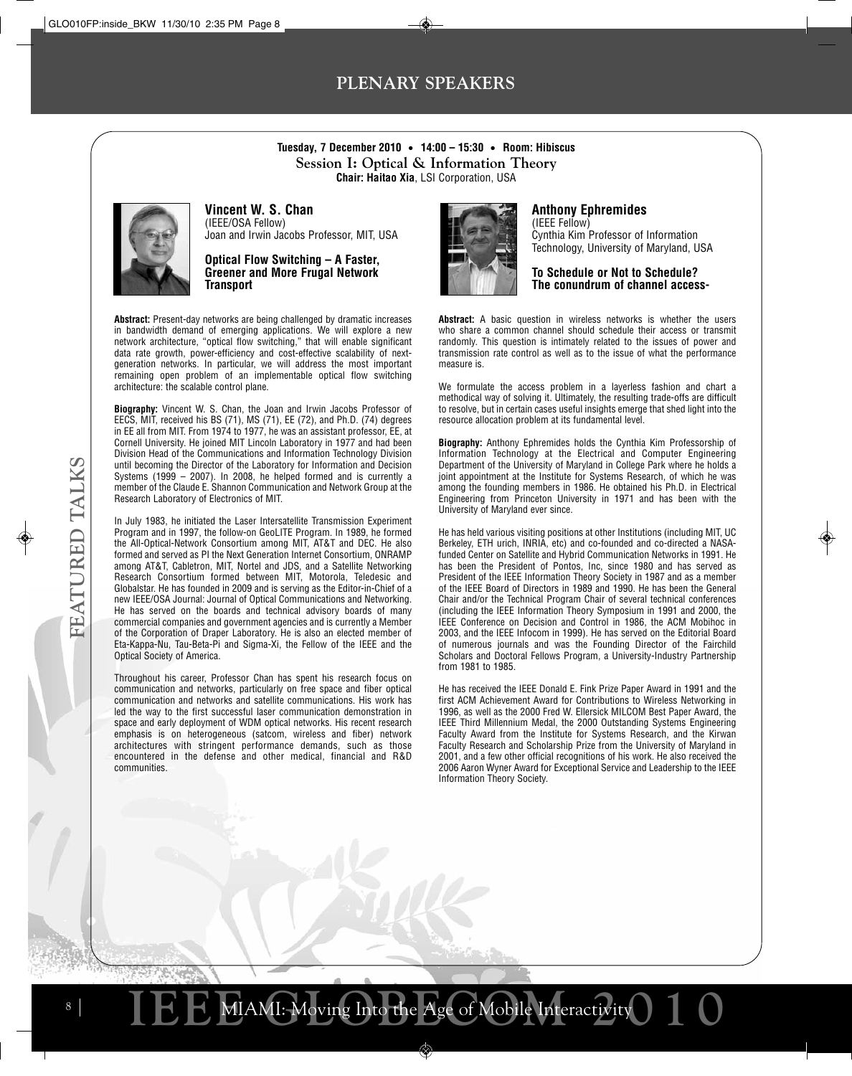#### **Tuesday, 7 December 2010** • **14:00 – 15:30** • **Room: Hibiscus Session I: Optical & Information Theory Chair: Haitao Xia**, LSI Corporation, USA



**Vincent W. S. Chan** (IEEE/OSA Fellow) Joan and Irwin Jacobs Professor, MIT, USA

**Optical Flow Switching – A Faster, Greener and More Frugal Network Transport**

**Abstract:** Present-day networks are being challenged by dramatic increases in bandwidth demand of emerging applications. We will explore a new network architecture, "optical flow switching," that will enable significant data rate growth, power-efficiency and cost-effective scalability of nextgeneration networks. In particular, we will address the most important remaining open problem of an implementable optical flow switching architecture: the scalable control plane.

**Biography:** Vincent W. S. Chan, the Joan and Irwin Jacobs Professor of EECS, MIT, received his BS (71), MS (71), EE (72), and Ph.D. (74) degrees in EE all from MIT. From 1974 to 1977, he was an assistant professor, EE, at Cornell University. He joined MIT Lincoln Laboratory in 1977 and had been Division Head of the Communications and Information Technology Division until becoming the Director of the Laboratory for Information and Decision Systems (1999 – 2007). In 2008, he helped formed and is currently a member of the Claude E. Shannon Communication and Network Group at the Research Laboratory of Electronics of MIT.

In July 1983, he initiated the Laser Intersatellite Transmission Experiment Program and in 1997, the follow-on GeoLITE Program. In 1989, he formed the All-Optical-Network Consortium among MIT, AT&T and DEC. He also formed and served as PI the Next Generation Internet Consortium, ONRAMP among AT&T, Cabletron, MIT, Nortel and JDS, and a Satellite Networking Research Consortium formed between MIT, Motorola, Teledesic and Globalstar. He has founded in 2009 and is serving as the Editor-in-Chief of a new IEEE/OSA Journal: Journal of Optical Communications and Networking. He has served on the boards and technical advisory boards of many commercial companies and government agencies and is currently a Member of the Corporation of Draper Laboratory. He is also an elected member of Eta-Kappa-Nu, Tau-Beta-Pi and Sigma-Xi, the Fellow of the IEEE and the Optical Society of America.

Throughout his career, Professor Chan has spent his research focus on communication and networks, particularly on free space and fiber optical communication and networks and satellite communications. His work has led the way to the first successful laser communication demonstration in space and early deployment of WDM optical networks. His recent research emphasis is on heterogeneous (satcom, wireless and fiber) network architectures with stringent performance demands, such as those encountered in the defense and other medical, financial and R&D communities.

**IEEEE** Moving Into



#### **Anthony Ephremides**  (IEEE Fellow) Cynthia Kim Professor of Information Technology, University of Maryland, USA

**To Schedule or Not to Schedule? The conundrum of channel access-**

**Abstract:** A basic question in wireless networks is whether the users who share a common channel should schedule their access or transmit randomly. This question is intimately related to the issues of power and transmission rate control as well as to the issue of what the performance measure is.

We formulate the access problem in a layerless fashion and chart a methodical way of solving it. Ultimately, the resulting trade-offs are difficult to resolve, but in certain cases useful insights emerge that shed light into the resource allocation problem at its fundamental level.

**Biography:** Anthony Ephremides holds the Cynthia Kim Professorship of Information Technology at the Electrical and Computer Engineering Department of the University of Maryland in College Park where he holds a joint appointment at the Institute for Systems Research, of which he was among the founding members in 1986. He obtained his Ph.D. in Electrical Engineering from Princeton University in 1971 and has been with the University of Maryland ever since.

He has held various visiting positions at other Institutions (including MIT, UC Berkeley, ETH urich, INRIA, etc) and co-founded and co-directed a NASAfunded Center on Satellite and Hybrid Communication Networks in 1991. He has been the President of Pontos, Inc, since 1980 and has served as President of the IEEE Information Theory Society in 1987 and as a member of the IEEE Board of Directors in 1989 and 1990. He has been the General Chair and/or the Technical Program Chair of several technical conferences (including the IEEE Information Theory Symposium in 1991 and 2000, the IEEE Conference on Decision and Control in 1986, the ACM Mobihoc in 2003, and the IEEE Infocom in 1999). He has served on the Editorial Board of numerous journals and was the Founding Director of the Fairchild Scholars and Doctoral Fellows Program, a University-Industry Partnership from 1981 to 1985.

He has received the IEEE Donald E. Fink Prize Paper Award in 1991 and the first ACM Achievement Award for Contributions to Wireless Networking in 1996, as well as the 2000 Fred W. Ellersick MILCOM Best Paper Award, the IEEE Third Millennium Medal, the 2000 Outstanding Systems Engineering Faculty Award from the Institute for Systems Research, and the Kirwan Faculty Research and Scholarship Prize from the University of Maryland in 2001, and a few other official recognitions of his work. He also received the 2006 Aaron Wyner Award for Exceptional Service and Leadership to the IEEE Information Theory Society.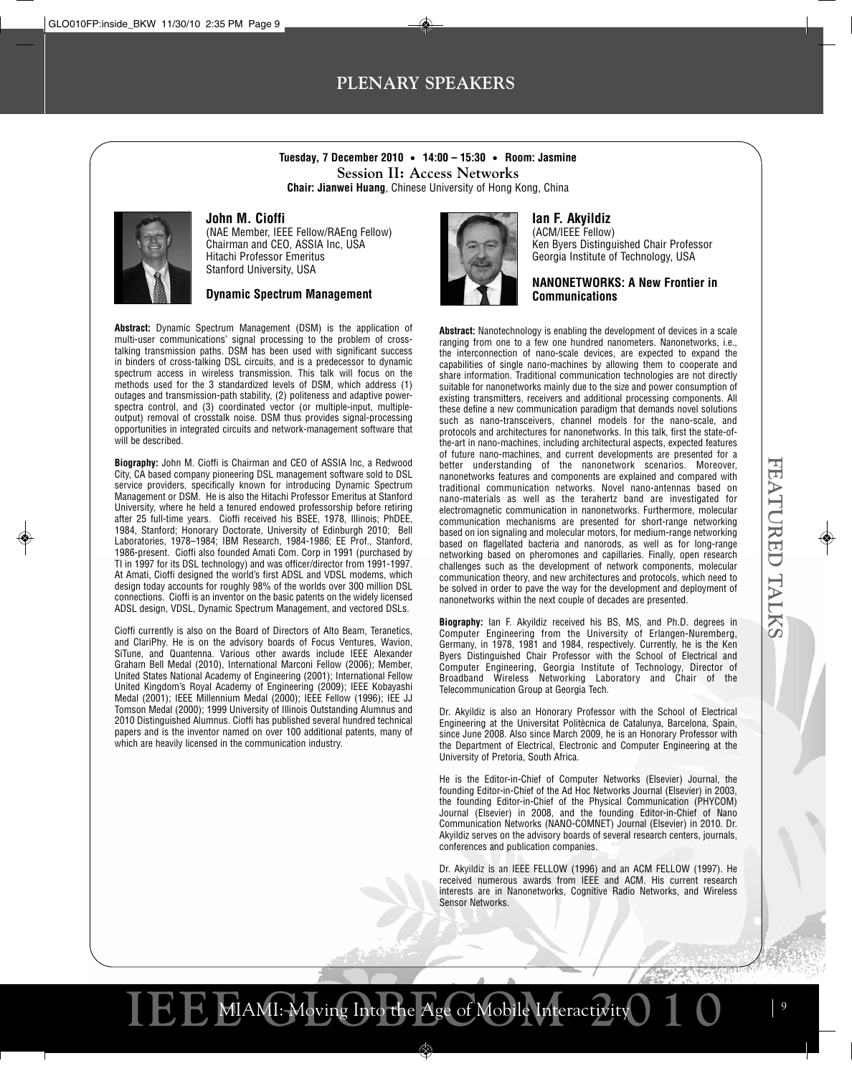## **Tuesday, 7 December 2010** • **14:00 – 15:30** • **Room: Jasmine Session II: Access Networks**

**Chair: Jianwei Huang**, Chinese University of Hong Kong, China



**John M. Cioffi** (NAE Member, IEEE Fellow/RAEng Fellow) Chairman and CEO, ASSIA Inc, USA Hitachi Professor Emeritus Stanford University, USA

#### **Dynamic Spectrum Management**

**Abstract:** Dynamic Spectrum Management (DSM) is the application of multi-user communications' signal processing to the problem of crosstalking transmission paths. DSM has been used with significant success in binders of cross-talking DSL circuits, and is a predecessor to dynamic spectrum access in wireless transmission. This talk will focus on the methods used for the 3 standardized levels of DSM, which address (1) outages and transmission-path stability, (2) politeness and adaptive powerspectra control, and (3) coordinated vector (or multiple-input, multipleoutput) removal of crosstalk noise. DSM thus provides signal-processing opportunities in integrated circuits and network-management software that will be described.

**Biography:** John M. Cioffi is Chairman and CEO of ASSIA Inc, a Redwood City, CA based company pioneering DSL management software sold to DSL service providers, specifically known for introducing Dynamic Spectrum Management or DSM. He is also the Hitachi Professor Emeritus at Stanford University, where he held a tenured endowed professorship before retiring after 25 full-time years. Cioffi received his BSEE, 1978, Illinois; PhDEE, 1984, Stanford; Honorary Doctorate, University of Edinburgh 2010; Bell Laboratories, 1978–1984; IBM Research, 1984-1986; EE Prof., Stanford, 1986-present. Cioffi also founded Amati Com. Corp in 1991 (purchased by TI in 1997 for its DSL technology) and was officer/director from 1991-1997. At Amati, Cioffi designed the world's first ADSL and VDSL modems, which design today accounts for roughly 98% of the worlds over 300 million DSL connections. Cioffi is an inventor on the basic patents on the widely licensed ADSL design, VDSL, Dynamic Spectrum Management, and vectored DSLs.

Cioffi currently is also on the Board of Directors of Alto Beam, Teranetics, and ClariPhy. He is on the advisory boards of Focus Ventures, Wavion, SiTune, and Quantenna. Various other awards include IEEE Alexander Graham Bell Medal (2010), International Marconi Fellow (2006); Member, United States National Academy of Engineering (2001); International Fellow United Kingdom's Royal Academy of Engineering (2009); IEEE Kobayashi Medal (2001); IEEE Millennium Medal (2000); IEEE Fellow (1996); IEE JJ Tomson Medal (2000); 1999 University of Illinois Outstanding Alumnus and 2010 Distinguished Alumnus. Cioffi has published several hundred technical papers and is the inventor named on over 100 additional patents, many of which are heavily licensed in the communication industry.



**Ian F. Akyildiz**  (ACM/IEEE Fellow)

Ken Byers Distinguished Chair Professor Georgia Institute of Technology, USA

**NANONETWORKS: A New Frontier in Communications**

**Abstract:** Nanotechnology is enabling the development of devices in a scale ranging from one to a few one hundred nanometers. Nanonetworks, i.e., the interconnection of nano-scale devices, are expected to expand the capabilities of single nano-machines by allowing them to cooperate and share information. Traditional communication technologies are not directly suitable for nanonetworks mainly due to the size and power consumption of existing transmitters, receivers and additional processing components. All these define a new communication paradigm that demands novel solutions such as nano-transceivers, channel models for the nano-scale, and protocols and architectures for nanonetworks. In this talk, first the state-ofthe-art in nano-machines, including architectural aspects, expected features of future nano-machines, and current developments are presented for a better understanding of the nanonetwork scenarios. Moreover, nanonetworks features and components are explained and compared with traditional communication networks. Novel nano-antennas based on nano-materials as well as the terahertz band are investigated for electromagnetic communication in nanonetworks. Furthermore, molecular communication mechanisms are presented for short-range networking based on ion signaling and molecular motors, for medium-range networking based on flagellated bacteria and nanorods, as well as for long-range networking based on pheromones and capillaries. Finally, open research challenges such as the development of network components, molecular communication theory, and new architectures and protocols, which need to be solved in order to pave the way for the development and deployment of nanonetworks within the next couple of decades are presented.

**Biography:** Ian F. Akyildiz received his BS, MS, and Ph.D. degrees in Computer Engineering from the University of Erlangen-Nuremberg, Germany, in 1978, 1981 and 1984, respectively. Currently, he is the Ken Byers Distinguished Chair Professor with the School of Electrical and Computer Engineering, Georgia Institute of Technology, Director of Broadband Wireless Networking Laboratory and Chair of the Telecommunication Group at Georgia Tech.

Dr. Akyildiz is also an Honorary Professor with the School of Electrical Engineering at the Universitat Politècnica de Catalunya, Barcelona, Spain, since June 2008. Also since March 2009, he is an Honorary Professor with the Department of Electrical, Electronic and Computer Engineering at the University of Pretoria, South Africa.

He is the Editor-in-Chief of Computer Networks (Elsevier) Journal, the founding Editor-in-Chief of the Ad Hoc Networks Journal (Elsevier) in 2003, the founding Editor-in-Chief of the Physical Communication (PHYCOM) Journal (Elsevier) in 2008, and the founding Editor-in-Chief of Nano Communication Networks (NANO-COMNET) Journal (Elsevier) in 2010. Dr. Akyildiz serves on the advisory boards of several research centers, journals, conferences and publication companies.

Dr. Akyildiz is an IEEE FELLOW (1996) and an ACM FELLOW (1997). He received numerous awards from IEEE and ACM. His current research interests are in Nanonetworks, Cognitive Radio Networks, and Wireless Sensor Networks.

**MIAMI: Moving Into the Age of Mobile Interactivity**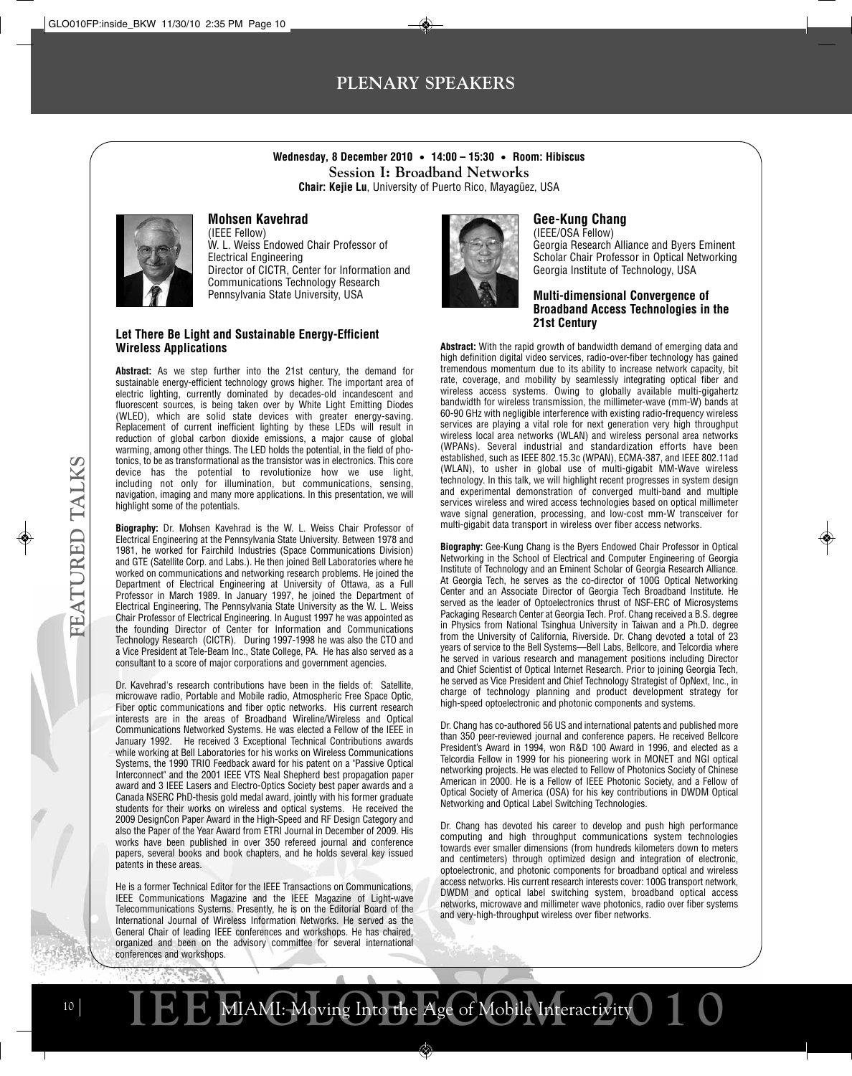## **Wednesday, 8 December 2010** • **14:00 – 15:30** • **Room: Hibiscus Session I: Broadband Networks**

**Chair: Kejie Lu**, University of Puerto Rico, Mayagüez, USA



### **Mohsen Kavehrad**

(IEEE Fellow) W. L. Weiss Endowed Chair Professor of Electrical Engineering Director of CICTR, Center for Information and Communications Technology Research Pennsylvania State University, USA

#### **Let There Be Light and Sustainable Energy-Efficient Wireless Applications**

**Abstract:** As we step further into the 21st century, the demand for sustainable energy-efficient technology grows higher. The important area of electric lighting, currently dominated by decades-old incandescent and fluorescent sources, is being taken over by White Light Emitting Diodes (WLED), which are solid state devices with greater energy-saving. Replacement of current inefficient lighting by these LEDs will result in reduction of global carbon dioxide emissions, a major cause of global warming, among other things. The LED holds the potential, in the field of photonics, to be as transformational as the transistor was in electronics. This core device has the potential to revolutionize how we use light, including not only for illumination, but communications, sensing, navigation, imaging and many more applications. In this presentation, we will highlight some of the potentials.

**Biography:** Dr. Mohsen Kavehrad is the W. L. Weiss Chair Professor of Electrical Engineering at the Pennsylvania State University. Between 1978 and 1981, he worked for Fairchild Industries (Space Communications Division) and GTE (Satellite Corp. and Labs.). He then joined Bell Laboratories where he worked on communications and networking research problems. He joined the Department of Electrical Engineering at University of Ottawa, as a Full Professor in March 1989. In January 1997, he joined the Department of Electrical Engineering, The Pennsylvania State University as the W. L. Weiss Chair Professor of Electrical Engineering. In August 1997 he was appointed as the founding Director of Center for Information and Communications Technology Research (CICTR). During 1997-1998 he was also the CTO and a Vice President at Tele-Beam Inc., State College, PA. He has also served as a consultant to a score of major corporations and government agencies.

Dr. Kavehrad's research contributions have been in the fields of: Satellite, microwave radio, Portable and Mobile radio, Atmospheric Free Space Optic, Fiber optic communications and fiber optic networks. His current research interests are in the areas of Broadband Wireline/Wireless and Optical Communications Networked Systems. He was elected a Fellow of the IEEE in January 1992. He received 3 Exceptional Technical Contributions awards while working at Bell Laboratories for his works on Wireless Communications Systems, the 1990 TRIO Feedback award for his patent on a "Passive Optical Interconnect" and the 2001 IEEE VTS Neal Shepherd best propagation paper award and 3 IEEE Lasers and Electro-Optics Society best paper awards and a Canada NSERC PhD-thesis gold medal award, jointly with his former graduate students for their works on wireless and optical systems. He received the 2009 DesignCon Paper Award in the High-Speed and RF Design Category and also the Paper of the Year Award from ETRI Journal in December of 2009. His works have been published in over 350 refereed journal and conference papers, several books and book chapters, and he holds several key issued patents in these areas.

He is a former Technical Editor for the IEEE Transactions on Communications, IEEE Communications Magazine and the IEEE Magazine of Light-wave Telecommunications Systems. Presently, he is on the Editorial Board of the International Journal of Wireless Information Networks. He served as the General Chair of leading IEEE conferences and workshops. He has chaired, organized and been on the advisory committee for several international conferences and workshops.



#### **Gee-Kung Chang**  (IEEE/OSA Fellow)

Georgia Research Alliance and Byers Eminent Scholar Chair Professor in Optical Networking Georgia Institute of Technology, USA

#### **Multi-dimensional Convergence of Broadband Access Technologies in the 21st Century**

**Abstract:** With the rapid growth of bandwidth demand of emerging data and high definition digital video services, radio-over-fiber technology has gained tremendous momentum due to its ability to increase network capacity, bit rate, coverage, and mobility by seamlessly integrating optical fiber and wireless access systems. Owing to globally available multi-gigahertz bandwidth for wireless transmission, the millimeter-wave (mm-W) bands at 60-90 GHz with negligible interference with existing radio-frequency wireless services are playing a vital role for next generation very high throughput wireless local area networks (WLAN) and wireless personal area networks (WPANs). Several industrial and standardization efforts have been established, such as IEEE 802.15.3c (WPAN), ECMA-387, and IEEE 802.11ad (WLAN), to usher in global use of multi-gigabit MM-Wave wireless technology. In this talk, we will highlight recent progresses in system design and experimental demonstration of converged multi-band and multiple services wireless and wired access technologies based on optical millimeter wave signal generation, processing, and low-cost mm-W transceiver for multi-gigabit data transport in wireless over fiber access networks.

**Biography:** Gee-Kung Chang is the Byers Endowed Chair Professor in Optical Networking in the School of Electrical and Computer Engineering of Georgia Institute of Technology and an Eminent Scholar of Georgia Research Alliance. At Georgia Tech, he serves as the co-director of 100G Optical Networking Center and an Associate Director of Georgia Tech Broadband Institute. He served as the leader of Optoelectronics thrust of NSF-ERC of Microsystems Packaging Research Center at Georgia Tech. Prof. Chang received a B.S. degree in Physics from National Tsinghua University in Taiwan and a Ph.D. degree from the University of California, Riverside. Dr. Chang devoted a total of 23 years of service to the Bell Systems—Bell Labs, Bellcore, and Telcordia where he served in various research and management positions including Director and Chief Scientist of Optical Internet Research. Prior to joining Georgia Tech, he served as Vice President and Chief Technology Strategist of OpNext, Inc., in charge of technology planning and product development strategy for high-speed optoelectronic and photonic components and systems.

Dr. Chang has co-authored 56 US and international patents and published more than 350 peer-reviewed journal and conference papers. He received Bellcore President's Award in 1994, won R&D 100 Award in 1996, and elected as a Telcordia Fellow in 1999 for his pioneering work in MONET and NGI optical networking projects. He was elected to Fellow of Photonics Society of Chinese American in 2000. He is a Fellow of IEEE Photonic Society, and a Fellow of Optical Society of America (OSA) for his key contributions in DWDM Optical Networking and Optical Label Switching Technologies.

Dr. Chang has devoted his career to develop and push high performance computing and high throughput communications system technologies towards ever smaller dimensions (from hundreds kilometers down to meters and centimeters) through optimized design and integration of electronic, optoelectronic, and photonic components for broadband optical and wireless access networks. His current research interests cover: 100G transport network, DWDM and optical label switching system, broadband optical access networks, microwave and millimeter wave photonics, radio over fiber systems and very-high-throughput wireless over fiber networks.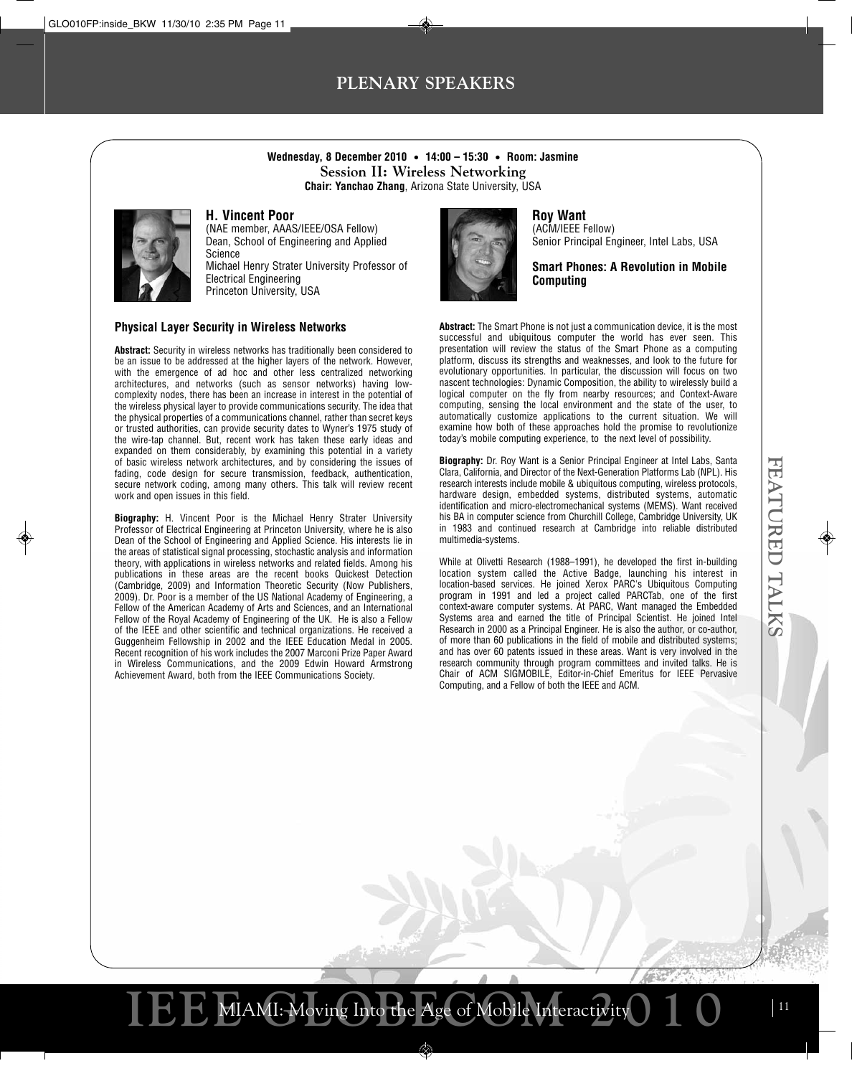#### **Wednesday, 8 December 2010** • **14:00 – 15:30** • **Room: Jasmine Session II: Wireless Networking Chair: Yanchao Zhang**, Arizona State University, USA



## **H. Vincent Poor**

(NAE member, AAAS/IEEE/OSA Fellow) Dean, School of Engineering and Applied Science Michael Henry Strater University Professor of Electrical Engineering Princeton University, USA

#### **Physical Layer Security in Wireless Networks**

**Abstract:** Security in wireless networks has traditionally been considered to be an issue to be addressed at the higher layers of the network. However, with the emergence of ad hoc and other less centralized networking architectures, and networks (such as sensor networks) having lowcomplexity nodes, there has been an increase in interest in the potential of the wireless physical layer to provide communications security. The idea that the physical properties of a communications channel, rather than secret keys or trusted authorities, can provide security dates to Wyner's 1975 study of the wire-tap channel. But, recent work has taken these early ideas and expanded on them considerably, by examining this potential in a variety of basic wireless network architectures, and by considering the issues of fading, code design for secure transmission, feedback, authentication, secure network coding, among many others. This talk will review recent work and open issues in this field.

**Biography:** H. Vincent Poor is the Michael Henry Strater University Professor of Electrical Engineering at Princeton University, where he is also Dean of the School of Engineering and Applied Science. His interests lie in the areas of statistical signal processing, stochastic analysis and information theory, with applications in wireless networks and related fields. Among his publications in these areas are the recent books Quickest Detection (Cambridge, 2009) and Information Theoretic Security (Now Publishers, 2009). Dr. Poor is a member of the US National Academy of Engineering, a Fellow of the American Academy of Arts and Sciences, and an International Fellow of the Royal Academy of Engineering of the UK. He is also a Fellow of the IEEE and other scientific and technical organizations. He received a Guggenheim Fellowship in 2002 and the IEEE Education Medal in 2005. Recent recognition of his work includes the 2007 Marconi Prize Paper Award in Wireless Communications, and the 2009 Edwin Howard Armstrong Achievement Award, both from the IEEE Communications Society.



**Roy Want** (ACM/IEEE Fellow) Senior Principal Engineer, Intel Labs, USA

**Smart Phones: A Revolution in Mobile Computing**

**Abstract:** The Smart Phone is not just a communication device, it is the most successful and ubiquitous computer the world has ever seen. This presentation will review the status of the Smart Phone as a computing platform, discuss its strengths and weaknesses, and look to the future for evolutionary opportunities. In particular, the discussion will focus on two nascent technologies: Dynamic Composition, the ability to wirelessly build a logical computer on the fly from nearby resources; and Context-Aware computing, sensing the local environment and the state of the user, to automatically customize applications to the current situation. We will examine how both of these approaches hold the promise to revolutionize today's mobile computing experience, to the next level of possibility.

**Biography:** Dr. Roy Want is a Senior Principal Engineer at Intel Labs, Santa Clara, California, and Director of the Next-Generation Platforms Lab (NPL). His research interests include mobile & ubiquitous computing, wireless protocols, hardware design, embedded systems, distributed systems, automatic identification and micro-electromechanical systems (MEMS). Want received his BA in computer science from Churchill College, Cambridge University, UK in 1983 and continued research at Cambridge into reliable distributed multimedia-systems.

While at Olivetti Research (1988–1991), he developed the first in-building location system called the Active Badge, launching his interest in location-based services. He joined Xerox PARC's Ubiquitous Computing program in 1991 and led a project called PARCTab, one of the first context-aware computer systems. At PARC, Want managed the Embedded Systems area and earned the title of Principal Scientist. He joined Intel Research in 2000 as a Principal Engineer. He is also the author, or co-author, of more than 60 publications in the field of mobile and distributed systems; and has over 60 patents issued in these areas. Want is very involved in the research community through program committees and invited talks. He is Chair of ACM SIGMOBILE, Editor-in-Chief Emeritus for IEEE Pervasive Computing, and a Fellow of both the IEEE and ACM.

# **MIAMI:** Moving Into the Age of Mobile Interactivity **1 1 1 1 1**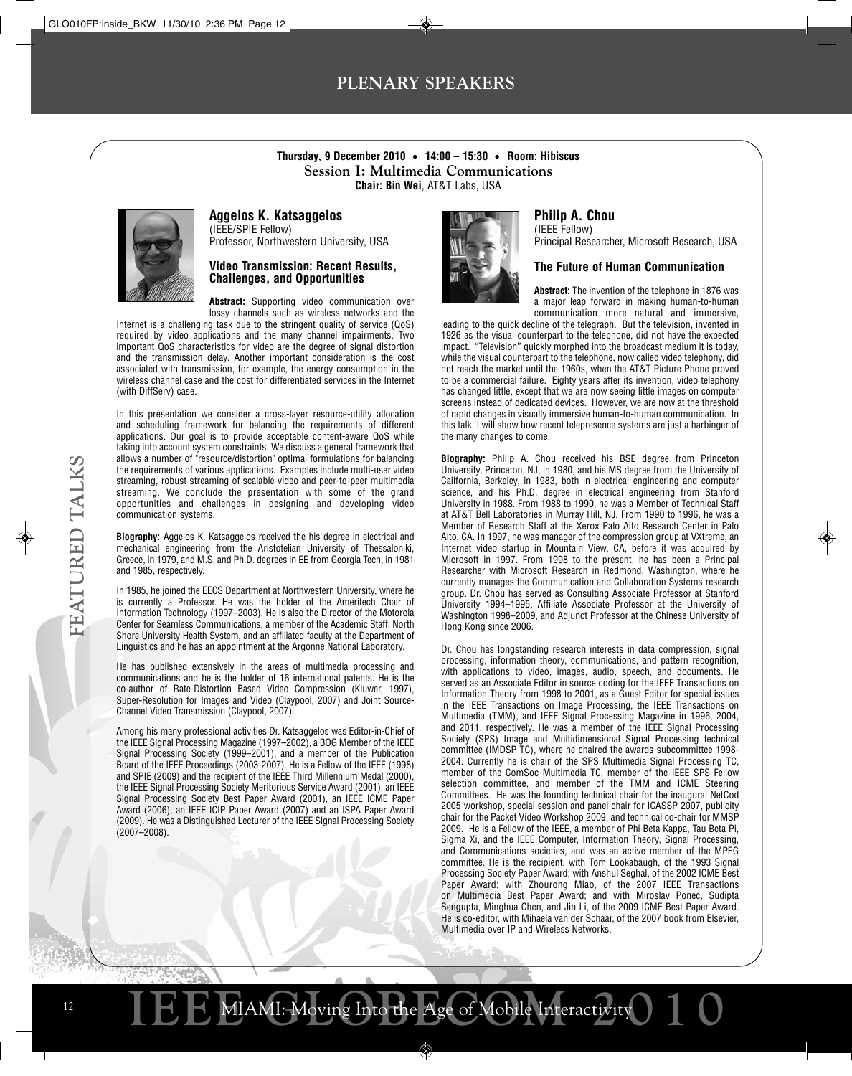#### **Thursday, 9 December 2010** • **14:00 – 15:30** • **Room: Hibiscus Session I: Multimedia Communications Chair: Bin Wei**, AT&T Labs, USA



#### **Aggelos K. Katsaggelos** (IEEE/SPIE Fellow) Professor, Northwestern University, USA

#### **Video Transmission: Recent Results, Challenges, and Opportunities**

**Abstract:** Supporting video communication over lossy channels such as wireless networks and the

Internet is a challenging task due to the stringent quality of service (QoS) required by video applications and the many channel impairments. Two important QoS characteristics for video are the degree of signal distortion and the transmission delay. Another important consideration is the cost associated with transmission, for example, the energy consumption in the wireless channel case and the cost for differentiated services in the Internet (with DiffServ) case.

In this presentation we consider a cross-layer resource-utility allocation and scheduling framework for balancing the requirements of different applications. Our goal is to provide acceptable content-aware QoS while taking into account system constraints. We discuss a general framework that allows a number of "resource/distortion" optimal formulations for balancing the requirements of various applications. Examples include multi-user video streaming, robust streaming of scalable video and peer-to-peer multimedia streaming. We conclude the presentation with some of the grand opportunities and challenges in designing and developing video communication systems.

**Biography:** Aggelos K. Katsaggelos received the his degree in electrical and mechanical engineering from the Aristotelian University of Thessaloniki, Greece, in 1979, and M.S. and Ph.D. degrees in EE from Georgia Tech, in 1981 and 1985, respectively.

In 1985, he joined the EECS Department at Northwestern University, where he is currently a Professor. He was the holder of the Ameritech Chair of Information Technology (1997–2003). He is also the Director of the Motorola Center for Seamless Communications, a member of the Academic Staff, North Shore University Health System, and an affiliated faculty at the Department of Linguistics and he has an appointment at the Argonne National Laboratory.

He has published extensively in the areas of multimedia processing and communications and he is the holder of 16 international patents. He is the co-author of Rate-Distortion Based Video Compression (Kluwer, 1997), Super-Resolution for Images and Video (Claypool, 2007) and Joint Source-Channel Video Transmission (Claypool, 2007).

Among his many professional activities Dr. Katsaggelos was Editor-in-Chief of the IEEE Signal Processing Magazine (1997–2002), a BOG Member of the IEEE Signal Processing Society (1999–2001), and a member of the Publication Board of the IEEE Proceedings (2003-2007). He is a Fellow of the IEEE (1998) and SPIE (2009) and the recipient of the IEEE Third Millennium Medal (2000), the IEEE Signal Processing Society Meritorious Service Award (2001), an IEEE Signal Processing Society Best Paper Award (2001), an IEEE ICME Paper Award (2006), an IEEE ICIP Paper Award (2007) and an ISPA Paper Award (2009). He was a Distinguished Lecturer of the IEEE Signal Processing Society (2007–2008).



#### **Philip A. Chou**  (IEEE Fellow)

Principal Researcher, Microsoft Research, USA

#### **The Future of Human Communication**

**Abstract:** The invention of the telephone in 1876 was a major leap forward in making human-to-human communication more natural and immersive,

leading to the quick decline of the telegraph. But the television, invented in 1926 as the visual counterpart to the telephone, did not have the expected impact. "Television" quickly morphed into the broadcast medium it is today, while the visual counterpart to the telephone, now called video telephony, did not reach the market until the 1960s, when the AT&T Picture Phone proved to be a commercial failure. Eighty years after its invention, video telephony has changed little, except that we are now seeing little images on computer screens instead of dedicated devices. However, we are now at the threshold of rapid changes in visually immersive human-to-human communication. In this talk, I will show how recent telepresence systems are just a harbinger of the many changes to come.

**Biography:** Philip A. Chou received his BSE degree from Princeton University, Princeton, NJ, in 1980, and his MS degree from the University of California, Berkeley, in 1983, both in electrical engineering and computer science, and his Ph.D. degree in electrical engineering from Stanford University in 1988. From 1988 to 1990, he was a Member of Technical Staff at AT&T Bell Laboratories in Murray Hill, NJ. From 1990 to 1996, he was a Member of Research Staff at the Xerox Palo Alto Research Center in Palo Alto, CA. In 1997, he was manager of the compression group at VXtreme, an Internet video startup in Mountain View, CA, before it was acquired by Microsoft in 1997. From 1998 to the present, he has been a Principal Researcher with Microsoft Research in Redmond, Washington, where he currently manages the Communication and Collaboration Systems research group. Dr. Chou has served as Consulting Associate Professor at Stanford University 1994–1995, Affiliate Associate Professor at the University of Washington 1998–2009, and Adjunct Professor at the Chinese University of Hong Kong since 2006.

Dr. Chou has longstanding research interests in data compression, signal processing, information theory, communications, and pattern recognition, with applications to video, images, audio, speech, and documents. He served as an Associate Editor in source coding for the IEEE Transactions on Information Theory from 1998 to 2001, as a Guest Editor for special issues in the IEEE Transactions on Image Processing, the IEEE Transactions on Multimedia (TMM), and IEEE Signal Processing Magazine in 1996, 2004, and 2011, respectively. He was a member of the IEEE Signal Processing Society (SPS) Image and Multidimensional Signal Processing technical committee (IMDSP TC), where he chaired the awards subcommittee 1998- 2004. Currently he is chair of the SPS Multimedia Signal Processing TC, member of the ComSoc Multimedia TC, member of the IEEE SPS Fellow selection committee, and member of the TMM and ICME Steering Committees. He was the founding technical chair for the inaugural NetCod 2005 workshop, special session and panel chair for ICASSP 2007, publicity chair for the Packet Video Workshop 2009, and technical co-chair for MMSP 2009. He is a Fellow of the IEEE, a member of Phi Beta Kappa, Tau Beta Pi, Sigma Xi, and the IEEE Computer, Information Theory, Signal Processing, and Communications societies, and was an active member of the MPEG committee. He is the recipient, with Tom Lookabaugh, of the 1993 Signal Processing Society Paper Award; with Anshul Seghal, of the 2002 ICME Best Paper Award; with Zhourong Miao, of the 2007 IEEE Transactions on Multimedia Best Paper Award; and with Miroslav Ponec, Sudipta Sengupta, Minghua Chen, and Jin Li, of the 2009 ICME Best Paper Award. He is co-editor, with Mihaela van der Schaar, of the 2007 book from Elsevier, Multimedia over IP and Wireless Networks.